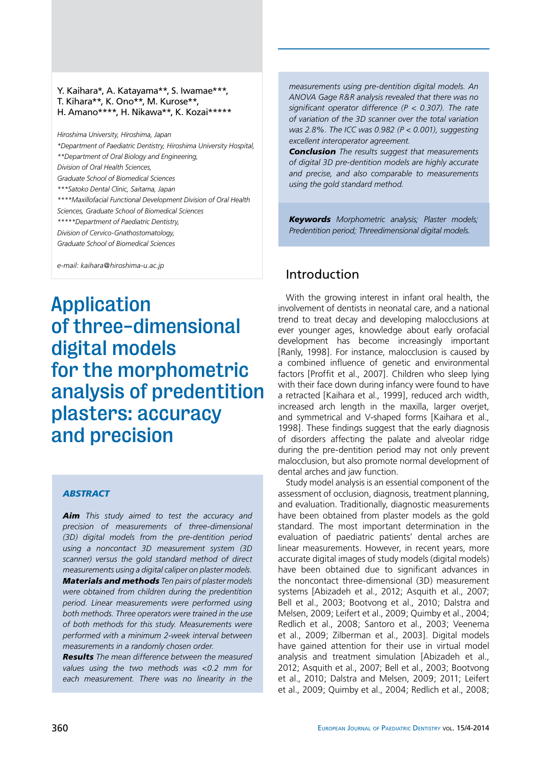### Y. Kaihara\*, A. Katayama\*\*, S. Iwamae\*\*\*, T. Kihara\*\*, K. Ono\*\*, M. Kurose\*\*, H. Amano\*\*\*\*, H. Nikawa\*\*, K. Kozai\*\*\*\*\*

*Hiroshima University, Hiroshima, Japan \*Department of Paediatric Dentistry, Hiroshima University Hospital, \*\*Department of Oral Biology and Engineering, Division of Oral Health Sciences, Graduate School of Biomedical Sciences \*\*\*Satoko Dental Clinic, Saitama, Japan \*\*\*\*Maxillofacial Functional Development Division of Oral Health Sciences, Graduate School of Biomedical Sciences \*\*\*\*\*Department of Paediatric Dentistry, Division of Cervico-Gnathostomatology, Graduate School of Biomedical Sciences*

*e-mail: kaihara@hiroshima-u.ac.jp*

Application of three-dimensional digital models for the morphometric analysis of predentition plasters: accuracy and precision

### *abstract*

*Aim This study aimed to test the accuracy and precision of measurements of three-dimensional (3D) digital models from the pre-dentition period using a noncontact 3D measurement system (3D scanner) versus the gold standard method of direct measurements using a digital caliper on plaster models. Materials and methods Ten pairs of plaster models were obtained from children during the predentition period. Linear measurements were performed using both methods. Three operators were trained in the use of both methods for this study. Measurements were performed with a minimum 2-week interval between measurements in a randomly chosen order.*

*Results The mean difference between the measured values using the two methods was <0.2 mm for each measurement. There was no linearity in the* 

*measurements using pre-dentition digital models. An ANOVA Gage R&R analysis revealed that there was no significant operator difference (P < 0.307). The rate of variation of the 3D scanner over the total variation was 2.8%. The ICC was 0.982 (P < 0.001), suggesting excellent interoperator agreement.*

*Conclusion The results suggest that measurements of digital 3D pre-dentition models are highly accurate and precise, and also comparable to measurements using the gold standard method.*

*Keywords Morphometric analysis; Plaster models; Predentition period; Threedimensional digital models.*

# Introduction

With the growing interest in infant oral health, the involvement of dentists in neonatal care, and a national trend to treat decay and developing malocclusions at ever younger ages, knowledge about early orofacial development has become increasingly important [Ranly, 1998]. For instance, malocclusion is caused by a combined influence of genetic and environmental factors [Proffit et al., 2007]. Children who sleep lying with their face down during infancy were found to have a retracted [Kaihara et al., 1999], reduced arch width, increased arch length in the maxilla, larger overjet, and symmetrical and V-shaped forms [Kaihara et al., 1998]. These findings suggest that the early diagnosis of disorders affecting the palate and alveolar ridge during the pre-dentition period may not only prevent malocclusion, but also promote normal development of dental arches and jaw function.

Study model analysis is an essential component of the assessment of occlusion, diagnosis, treatment planning, and evaluation. Traditionally, diagnostic measurements have been obtained from plaster models as the gold standard. The most important determination in the evaluation of paediatric patients' dental arches are linear measurements. However, in recent years, more accurate digital images of study models (digital models) have been obtained due to significant advances in the noncontact three-dimensional (3D) measurement systems [Abizadeh et al., 2012; Asquith et al., 2007; Bell et al., 2003; Bootvong et al., 2010; Dalstra and Melsen, 2009; Leifert et al., 2009; Quimby et al., 2004; Redlich et al., 2008; Santoro et al., 2003; Veenema et al., 2009; Zilberman et al., 2003]. Digital models have gained attention for their use in virtual model analysis and treatment simulation [Abizadeh et al., 2012; Asquith et al., 2007; Bell et al., 2003; Bootvong et al., 2010; Dalstra and Melsen, 2009; 2011; Leifert et al., 2009; Quimby et al., 2004; Redlich et al., 2008;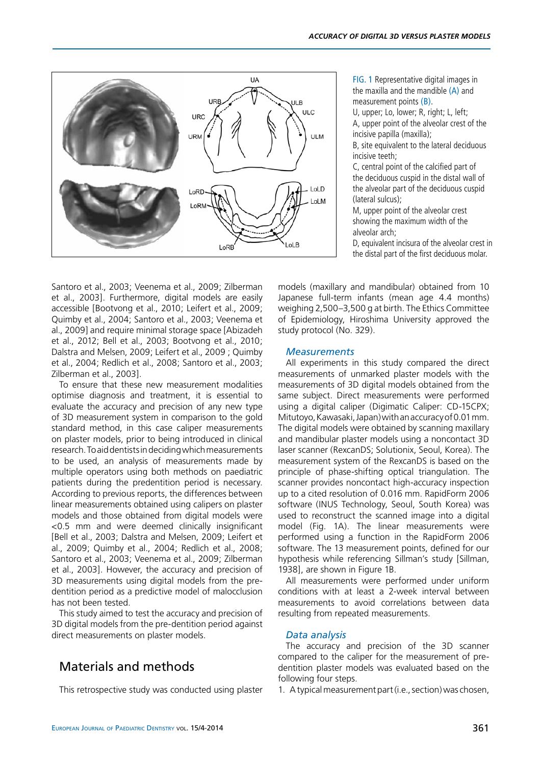

fig. 1 Representative digital images in the maxilla and the mandible  $(A)$  and measurement points (B).

U, upper; Lo, lower; R, right; L, left; A, upper point of the alveolar crest of the incisive papilla (maxilla);

B, site equivalent to the lateral deciduous incisive teeth;

C, central point of the calcified part of the deciduous cuspid in the distal wall of the alveolar part of the deciduous cuspid (lateral sulcus);

M, upper point of the alveolar crest showing the maximum width of the alveolar arch;

D, equivalent incisura of the alveolar crest in the distal part of the first deciduous molar.

Santoro et al., 2003; Veenema et al., 2009; Zilberman et al., 2003]. Furthermore, digital models are easily accessible [Bootvong et al., 2010; Leifert et al., 2009; Quimby et al., 2004; Santoro et al., 2003; Veenema et al., 2009] and require minimal storage space [Abizadeh et al., 2012; Bell et al., 2003; Bootvong et al., 2010; Dalstra and Melsen, 2009; Leifert et al., 2009 ; Quimby et al., 2004; Redlich et al., 2008; Santoro et al., 2003; Zilberman et al., 2003].

To ensure that these new measurement modalities optimise diagnosis and treatment, it is essential to evaluate the accuracy and precision of any new type of 3D measurement system in comparison to the gold standard method, in this case caliper measurements on plaster models, prior to being introduced in clinical research. To aid dentists in deciding which measurements to be used, an analysis of measurements made by multiple operators using both methods on paediatric patients during the predentition period is necessary. According to previous reports, the differences between linear measurements obtained using calipers on plaster models and those obtained from digital models were <0.5 mm and were deemed clinically insignificant [Bell et al., 2003; Dalstra and Melsen, 2009; Leifert et al., 2009; Quimby et al., 2004; Redlich et al., 2008; Santoro et al., 2003; Veenema et al., 2009; Zilberman et al., 2003]. However, the accuracy and precision of 3D measurements using digital models from the predentition period as a predictive model of malocclusion has not been tested.

This study aimed to test the accuracy and precision of 3D digital models from the pre-dentition period against direct measurements on plaster models.

# Materials and methods

This retrospective study was conducted using plaster

models (maxillary and mandibular) obtained from 10 Japanese full-term infants (mean age 4.4 months) weighing 2,500–3,500 g at birth. The Ethics Committee of Epidemiology, Hiroshima University approved the study protocol (No. 329).

#### *Measurements*

All experiments in this study compared the direct measurements of unmarked plaster models with the measurements of 3D digital models obtained from the same subject. Direct measurements were performed using a digital caliper (Digimatic Caliper: CD-15CPX; Mitutoyo, Kawasaki, Japan) with an accuracy of 0.01 mm. The digital models were obtained by scanning maxillary and mandibular plaster models using a noncontact 3D laser scanner (RexcanDS; Solutionix, Seoul, Korea). The measurement system of the RexcanDS is based on the principle of phase-shifting optical triangulation. The scanner provides noncontact high-accuracy inspection up to a cited resolution of 0.016 mm. RapidForm 2006 software (INUS Technology, Seoul, South Korea) was used to reconstruct the scanned image into a digital model (Fig. 1A). The linear measurements were performed using a function in the RapidForm 2006 software. The 13 measurement points, defined for our hypothesis while referencing Sillman's study [Sillman, 1938], are shown in Figure 1B.

All measurements were performed under uniform conditions with at least a 2-week interval between measurements to avoid correlations between data resulting from repeated measurements.

### *Data analysis*

The accuracy and precision of the 3D scanner compared to the caliper for the measurement of predentition plaster models was evaluated based on the following four steps.

1. A typical measurement part (i.e., section) was chosen,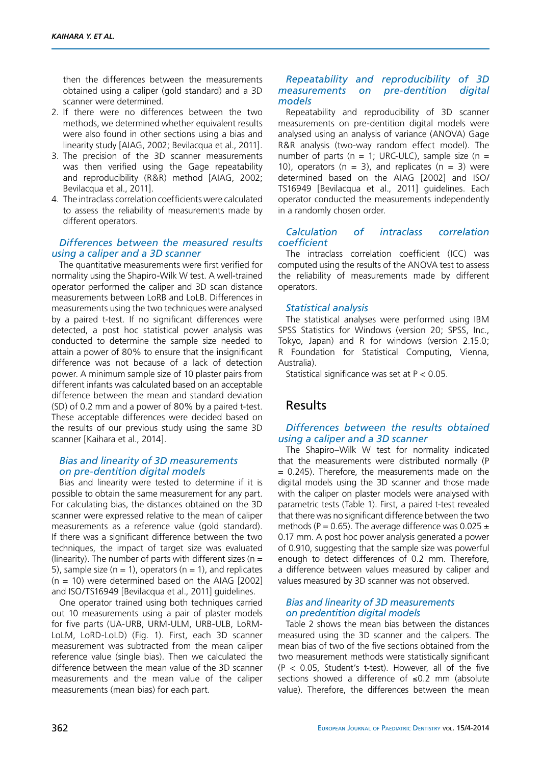then the differences between the measurements obtained using a caliper (gold standard) and a 3D scanner were determined.

- 2. If there were no differences between the two methods, we determined whether equivalent results were also found in other sections using a bias and linearity study [AIAG, 2002; Bevilacqua et al., 2011].
- 3. The precision of the 3D scanner measurements was then verified using the Gage repeatability and reproducibility (R&R) method [AIAG, 2002; Bevilacqua et al., 2011].
- 4. The intraclass correlation coefficients were calculated to assess the reliability of measurements made by different operators.

### *Differences between the measured results using a caliper and a 3D scanner*

The quantitative measurements were first verified for normality using the Shapiro-Wilk W test. A well-trained operator performed the caliper and 3D scan distance measurements between LoRB and LoLB. Differences in measurements using the two techniques were analysed by a paired t-test. If no significant differences were detected, a post hoc statistical power analysis was conducted to determine the sample size needed to attain a power of 80% to ensure that the insignificant difference was not because of a lack of detection power. A minimum sample size of 10 plaster pairs from different infants was calculated based on an acceptable difference between the mean and standard deviation (SD) of 0.2 mm and a power of 80% by a paired t-test. These acceptable differences were decided based on the results of our previous study using the same 3D scanner [Kaihara et al., 2014].

## *Bias and linearity of 3D measurements on pre-dentition digital models*

Bias and linearity were tested to determine if it is possible to obtain the same measurement for any part. For calculating bias, the distances obtained on the 3D scanner were expressed relative to the mean of caliper measurements as a reference value (gold standard). If there was a significant difference between the two techniques, the impact of target size was evaluated (linearity). The number of parts with different sizes ( $n =$ 5), sample size ( $n = 1$ ), operators ( $n = 1$ ), and replicates  $(n = 10)$  were determined based on the AIAG [2002] and ISO/TS16949 [Bevilacqua et al., 2011] guidelines.

One operator trained using both techniques carried out 10 measurements using a pair of plaster models for five parts (UA-URB, URM-ULM, URB-ULB, LoRM-LoLM, LoRD-LoLD) (Fig. 1). First, each 3D scanner measurement was subtracted from the mean caliper reference value (single bias). Then we calculated the difference between the mean value of the 3D scanner measurements and the mean value of the caliper measurements (mean bias) for each part.

## *Repeatability and reproducibility of 3D measurements on pre-dentition digital models*

Repeatability and reproducibility of 3D scanner measurements on pre-dentition digital models were analysed using an analysis of variance (ANOVA) Gage R&R analysis (two-way random effect model). The number of parts ( $n = 1$ ; URC-ULC), sample size ( $n =$ 10), operators ( $n = 3$ ), and replicates ( $n = 3$ ) were determined based on the AIAG [2002] and ISO/ TS16949 [Bevilacqua et al., 2011] guidelines. Each operator conducted the measurements independently in a randomly chosen order.

## *Calculation of intraclass correlation coefficient*

The intraclass correlation coefficient (ICC) was computed using the results of the ANOVA test to assess the reliability of measurements made by different operators.

## *Statistical analysis*

The statistical analyses were performed using IBM SPSS Statistics for Windows (version 20; SPSS, Inc., Tokyo, Japan) and R for windows (version 2.15.0; R Foundation for Statistical Computing, Vienna, Australia).

Statistical significance was set at P < 0.05.

# Results

## *Differences between the results obtained using a caliper and a 3D scanner*

The Shapiro–Wilk W test for normality indicated that the measurements were distributed normally (P = 0.245). Therefore, the measurements made on the digital models using the 3D scanner and those made with the caliper on plaster models were analysed with parametric tests (Table 1). First, a paired t-test revealed that there was no significant difference between the two methods (P = 0.65). The average difference was 0.025  $\pm$ 0.17 mm. A post hoc power analysis generated a power of 0.910, suggesting that the sample size was powerful enough to detect differences of 0.2 mm. Therefore, a difference between values measured by caliper and values measured by 3D scanner was not observed.

## *Bias and linearity of 3D measurements on predentition digital models*

Table 2 shows the mean bias between the distances measured using the 3D scanner and the calipers. The mean bias of two of the five sections obtained from the two measurement methods were statistically significant  $(P < 0.05$ , Student's t-test). However, all of the five sections showed a difference of ≤0.2 mm (absolute value). Therefore, the differences between the mean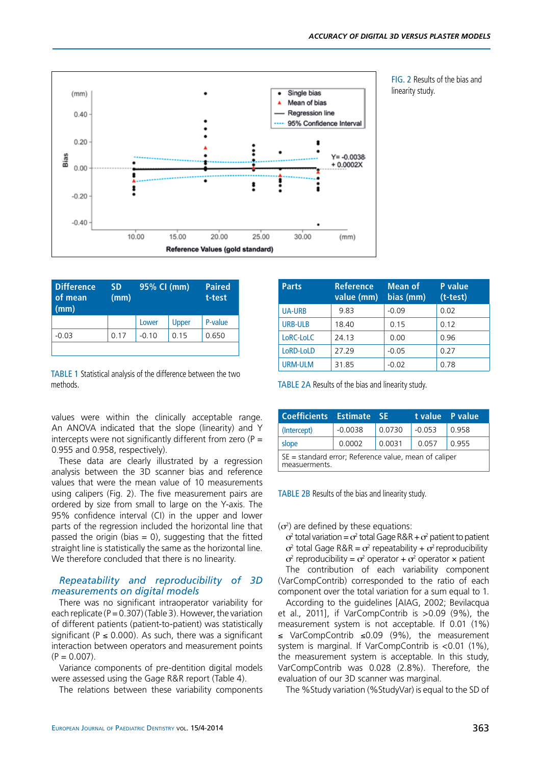



fig. 2 Results of the bias and linearity study.

| <b>Difference</b><br>of mean<br>(mm) | <b>SD</b><br>(mm) | 95% CI (mm) |       | <b>Paired</b><br>t-test |
|--------------------------------------|-------------------|-------------|-------|-------------------------|
|                                      |                   | Lower       | Upper | P-value                 |
| $-0.03$                              | 0.17              | $-0.10$     | 0.15  | 0.650                   |
|                                      |                   |             |       |                         |

TABLE 1 Statistical analysis of the difference between the two methods.

values were within the clinically acceptable range. An ANOVA indicated that the slope (linearity) and Y intercepts were not significantly different from zero ( $P =$ 0.955 and 0.958, respectively).

These data are clearly illustrated by a regression analysis between the 3D scanner bias and reference values that were the mean value of 10 measurements using calipers (Fig. 2). The five measurement pairs are ordered by size from small to large on the Y-axis. The 95% confidence interval (CI) in the upper and lower parts of the regression included the horizontal line that passed the origin (bias  $= 0$ ), suggesting that the fitted straight line is statistically the same as the horizontal line. We therefore concluded that there is no linearity.

### *Repeatability and reproducibility of 3D measurements on digital models*

There was no significant intraoperator variability for each replicate ( $P = 0.307$ ) (Table 3). However, the variation of different patients (patient-to-patient) was statistically significant ( $P \le 0.000$ ). As such, there was a significant interaction between operators and measurement points  $(P = 0.007)$ .

Variance components of pre-dentition digital models were assessed using the Gage R&R report (Table 4).

The relations between these variability components

| <b>Parts</b>   | <b>Reference</b><br>value (mm) | <b>Mean of</b><br>bias (mm) | <b>P</b> value<br>$(t-test)$ |
|----------------|--------------------------------|-----------------------------|------------------------------|
| <b>UA-URB</b>  | 9.83                           | $-0.09$                     | 0.02                         |
| <b>URB-ULB</b> | 18.40                          | 0.15                        | 0.12                         |
| LoRC-LoLC      | 24.13                          | 0.00                        | 0.96                         |
| LoRD-LoLD      | 27.29                          | $-0.05$                     | 0.27                         |
| <b>URM-ULM</b> | 31.85                          | $-0.02$                     | 0.78                         |

TABLE 2A Results of the bias and linearity study.

| Coefficients Estimate SE                                                  |           |        |          | t value P value |  |  |
|---------------------------------------------------------------------------|-----------|--------|----------|-----------------|--|--|
| (Intercept)                                                               | $-0.0038$ | 0.0730 | $-0.053$ | 0.958           |  |  |
| slope                                                                     | 0.0002    | 0.0031 | 0.057    | 0.955           |  |  |
| $SE = standard error$ ; Reference value, mean of caliper<br>measuerments. |           |        |          |                 |  |  |

TABLE 2B Results of the bias and linearity study.

 $(\sigma^2)$  are defined by these equations:

 $\sigma^2$  total variation =  $\sigma^2$  total Gage R&R +  $\sigma^2$  patient to patient  $\sigma^2$  total Gage R&R =  $\sigma^2$  repeatability +  $\sigma^2$  reproducibility  $\sigma^2$  reproducibility =  $\sigma^2$  operator +  $\sigma^2$  operator × patient The contribution of each variability component (VarCompContrib) corresponded to the ratio of each component over the total variation for a sum equal to 1.

According to the guidelines [AIAG, 2002; Bevilacqua et al., 2011], if VarCompContrib is >0.09 (9%), the measurement system is not acceptable. If 0.01 (1%) ≤ VarCompContrib ≤0.09 (9%), the measurement system is marginal. If VarCompContrib is <0.01 (1%), the measurement system is acceptable. In this study, VarCompContrib was 0.028 (2.8%). Therefore, the evaluation of our 3D scanner was marginal.

The %Study variation (%StudyVar) is equal to the SD of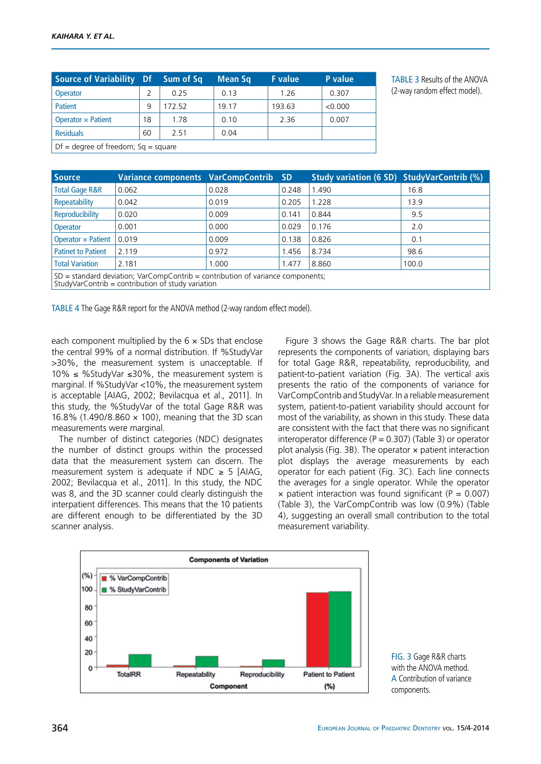| Source of Variability Df              |    | Sum of Sq | Mean Sq | <b>F</b> value | <b>P</b> value |
|---------------------------------------|----|-----------|---------|----------------|----------------|
| <b>Operator</b>                       | 2  | 0.25      | 0.13    | 1.26           | 0.307          |
| Patient                               | 9  | 172 52    | 19.17   | 193.63         | < 0.000        |
| Operator $\times$ Patient             | 18 | 1.78      | 0.10    | 2.36           | 0.007          |
| <b>Residuals</b>                      | 60 | 2.51      | 0.04    |                |                |
| $Df$ = degree of freedom; Sq = square |    |           |         |                |                |

TABLE 3 Results of the ANOVA (2-way random effect model).

| <b>Source</b>                                                                                                                          | Variance components VarCompContrib |       | <b>SD</b> | Study variation (6 SD) StudyVarContrib (%) |       |
|----------------------------------------------------------------------------------------------------------------------------------------|------------------------------------|-------|-----------|--------------------------------------------|-------|
| <b>Total Gage R&amp;R</b>                                                                                                              | 0.062                              | 0.028 | 0.248     | 1.490                                      | 16.8  |
| Repeatability                                                                                                                          | 0.042                              | 0.019 | 0.205     | 1.228                                      | 13.9  |
| Reproducibility                                                                                                                        | 0.020                              | 0.009 | 0.141     | 0.844                                      | 9.5   |
| <b>Operator</b>                                                                                                                        | 0.001                              | 0.000 | 0.029     | 0.176                                      | 2.0   |
| Operator $\times$ Patient                                                                                                              | 0.019                              | 0.009 | 0.138     | 0.826                                      | 0.1   |
| <b>Patinet to Patient</b>                                                                                                              | 2.119                              | 0.972 | 1.456     | 8.734                                      | 98.6  |
| <b>Total Variation</b>                                                                                                                 | 2.181                              | 1.000 | 1.477     | 8.860                                      | 100.0 |
| $SD = standard deviation$ ; VarCompContrib = contribution of variance components;<br>StudyVarContrib = contribution of study variation |                                    |       |           |                                            |       |

TABLE 4 The Gage R&R report for the ANOVA method (2-way random effect model).

each component multiplied by the  $6 \times SDs$  that enclose the central 99% of a normal distribution. If %StudyVar >30%, the measurement system is unacceptable. If 10% ≤ %StudyVar ≤30%, the measurement system is marginal. If %StudyVar <10%, the measurement system is acceptable [AIAG, 2002; Bevilacqua et al., 2011]. In this study, the %StudyVar of the total Gage R&R was 16.8% (1.490/8.860 × 100), meaning that the 3D scan measurements were marginal.

The number of distinct categories (NDC) designates the number of distinct groups within the processed data that the measurement system can discern. The measurement system is adequate if NDC  $\geq$  5 [AIAG, 2002; Bevilacqua et al., 2011]. In this study, the NDC was 8, and the 3D scanner could clearly distinguish the interpatient differences. This means that the 10 patients are different enough to be differentiated by the 3D scanner analysis.

Figure 3 shows the Gage R&R charts. The bar plot represents the components of variation, displaying bars for total Gage R&R, repeatability, reproducibility, and patient-to-patient variation (Fig. 3A). The vertical axis presents the ratio of the components of variance for VarCompContrib and StudyVar. In a reliable measurement system, patient-to-patient variability should account for most of the variability, as shown in this study. These data are consistent with the fact that there was no significant interoperator difference ( $P = 0.307$ ) (Table 3) or operator plot analysis (Fig. 3B). The operator  $\times$  patient interaction plot displays the average measurements by each operator for each patient (Fig. 3C). Each line connects the averages for a single operator. While the operator  $\times$  patient interaction was found significant (P = 0.007) (Table 3), the VarCompContrib was low (0.9%) (Table 4), suggesting an overall small contribution to the total measurement variability.



fig. 3 Gage R&R charts with the ANOVA method. A Contribution of variance components.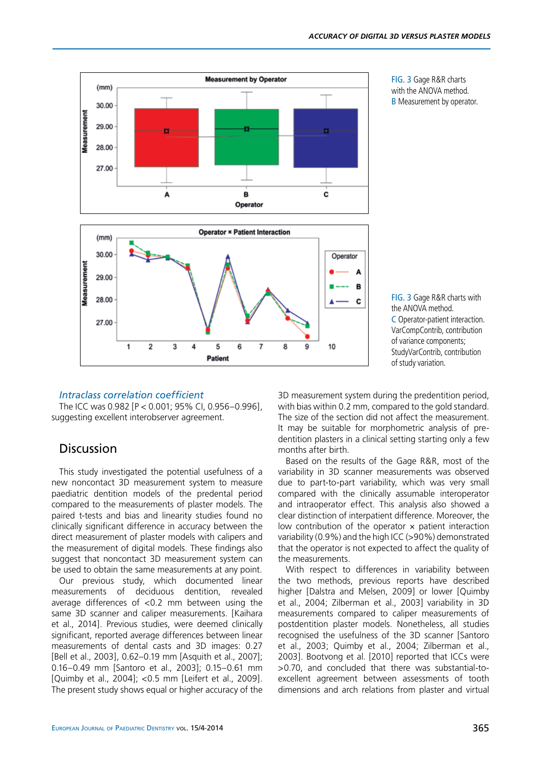

fig. 3 Gage R&R charts with the ANOVA method. **B** Measurement by operator.

### fig. 3 Gage R&R charts with the ANOVA method. C Operator-patient interaction. VarCompContrib, contribution of variance components; StudyVarContrib, contribution of study variation.

## *Intraclass correlation coefficient*

The ICC was 0.982 [P < 0.001; 95% CI, 0.956–0.996], suggesting excellent interobserver agreement.

## Discussion

This study investigated the potential usefulness of a new noncontact 3D measurement system to measure paediatric dentition models of the predental period compared to the measurements of plaster models. The paired t-tests and bias and linearity studies found no clinically significant difference in accuracy between the direct measurement of plaster models with calipers and the measurement of digital models. These findings also suggest that noncontact 3D measurement system can be used to obtain the same measurements at any point.

Our previous study, which documented linear measurements of deciduous dentition, revealed average differences of <0.2 mm between using the same 3D scanner and caliper measurements. [Kaihara et al., 2014]. Previous studies, were deemed clinically significant, reported average differences between linear measurements of dental casts and 3D images: 0.27 [Bell et al., 2003], 0.62–0.19 mm [Asquith et al., 2007]; 0.16–0.49 mm [Santoro et al., 2003]; 0.15–0.61 mm [Quimby et al., 2004]; <0.5 mm [Leifert et al., 2009]. The present study shows equal or higher accuracy of the

3D measurement system during the predentition period, with bias within 0.2 mm, compared to the gold standard. The size of the section did not affect the measurement. It may be suitable for morphometric analysis of predentition plasters in a clinical setting starting only a few months after birth.

Based on the results of the Gage R&R, most of the variability in 3D scanner measurements was observed due to part-to-part variability, which was very small compared with the clinically assumable interoperator and intraoperator effect. This analysis also showed a clear distinction of interpatient difference. Moreover, the low contribution of the operator  $\times$  patient interaction variability (0.9%) and the high ICC (>90%) demonstrated that the operator is not expected to affect the quality of the measurements.

With respect to differences in variability between the two methods, previous reports have described higher [Dalstra and Melsen, 2009] or lower [Quimby et al., 2004; Zilberman et al., 2003] variability in 3D measurements compared to caliper measurements of postdentition plaster models. Nonetheless, all studies recognised the usefulness of the 3D scanner [Santoro et al., 2003; Quimby et al., 2004; Zilberman et al., 2003]. Bootvong et al. [2010] reported that ICCs were >0.70, and concluded that there was substantial-toexcellent agreement between assessments of tooth dimensions and arch relations from plaster and virtual